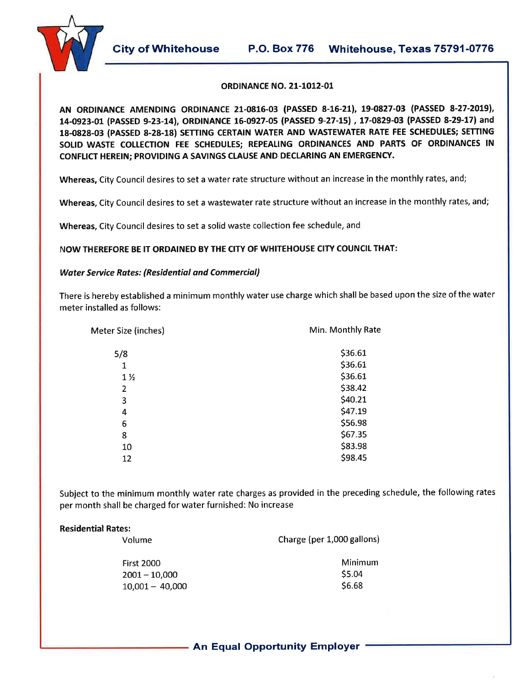City of Whitehouse P.O. Box 776 Whitehouse, Texas 75791-0776



#### **ORDINANCE NO. 21-1012-01**

AN ORDINANCE AMENDING ORDINANCE 21-0816-03 (PASSED 8-16-21), 19-0827-03 (PASSED 8-27-2019), 14-0923-01 (PASSED 9-23-14), ORDINANCE 16-0927-05 (PASSED 9-27-15), 17-0829-03 (PASSED 8-29-17) and 18-0828-03 (PASSED 8-28-18) SETTING CERTAIN WATER AND WASTEWATER RATE FEE SCHEDULES; SETTING SOLID WASTE COLLECTION FEE SCHEDULES; REPEALING ORDINANCES AND PARTS OF ORDINANCES IN CONFLICT HEREIN; PROVIDING A SAVINGS CLAUSE AND DECLARING AN EMERGENCY.

Whereas, City Council desires to set a water rate structure without an increase in the monthly rates, and;

Whereas, City Council desires to set a wastewater rate structure without an increase in the monthly rates, and;

Whereas, City Council desires to set a solid waste collection fee schedule, and

NOW THEREFORE BE IT ORDAINED BY THE CITY OF WHITEHOUSE CITY COUNCIL THAT:

### **Water Service Rates: (Residential and Commercial)**

There is hereby established a minimum monthly water use charge which shall be based upon the size of the water meter installed as follows:

Meter Size (inches)

Min. Monthly Rate

| 5/8<br>1 | \$36.61<br>\$36.61 |
|----------|--------------------|
| 1 %      | \$36.61            |
| 2        | \$38.42            |
| 3        | \$40.21            |
| 4        | \$47.19            |
| 6        | \$56.98            |
| 8        | \$67.35            |
| 10       | \$83.98            |
| 12       | \$98.45            |

Subject to the minimum monthly water rate charges as provided in the preceding schedule, the following rates per month shall be charged for water furnished: No increase

### **Residential Rates:**

|  |  |  | Volume |  |
|--|--|--|--------|--|
|--|--|--|--------|--|

 $\cdots$ 

Charge (per 1,000 gallons)

| First 2000        |
|-------------------|
| $2001 - 10,000$   |
| $10,001 - 40,000$ |

Minimum \$5.04 \$6.68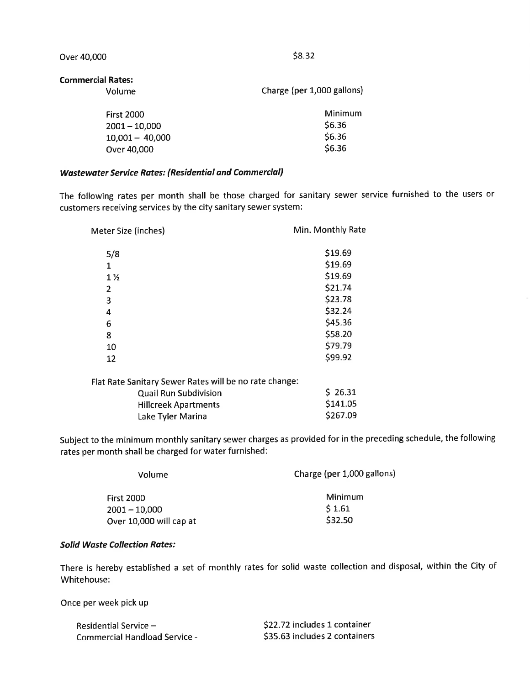Over 40,000

 $$8.32$ 

#### **Commercial Rates:**

| Volume            | Charge (per 1,000 gallons) |
|-------------------|----------------------------|
| <b>First 2000</b> | Minimum                    |
| $2001 - 10,000$   | \$6.36                     |
| $10,001 - 40,000$ | \$6.36                     |
| Over 40,000       | \$6.36                     |

## **Wastewater Service Rates: (Residential and Commercial)**

The following rates per month shall be those charged for sanitary sewer service furnished to the users or customers receiving services by the city sanitary sewer system:

| Meter Size (inches) | Min. Monthly Rate |  |  |  |  |
|---------------------|-------------------|--|--|--|--|
| 5/8                 | \$19.69           |  |  |  |  |
| 1                   | \$19.69           |  |  |  |  |
| $1\%$               | \$19.69           |  |  |  |  |
| 2                   | \$21.74           |  |  |  |  |
| 3                   | \$23.78           |  |  |  |  |
| 4                   | \$32.24           |  |  |  |  |
| 6                   | \$45.36           |  |  |  |  |
| 8                   | \$58.20           |  |  |  |  |
| 10                  | \$79.79           |  |  |  |  |
| 12                  | \$99.92           |  |  |  |  |
|                     |                   |  |  |  |  |

| Flat Rate Sanitary Sewer Rates will be no rate change: |          |
|--------------------------------------------------------|----------|
| <b>Quail Run Subdivision</b>                           | 526.31   |
| <b>Hillcreek Apartments</b>                            | \$141.05 |
| Lake Tyler Marina                                      | \$267.09 |
|                                                        |          |

Subject to the minimum monthly sanitary sewer charges as provided for in the preceding schedule, the following rates per month shall be charged for water furnished:

| Volume                  | Charge (per 1,000 gallons) |
|-------------------------|----------------------------|
| <b>First 2000</b>       | Minimum                    |
| $2001 - 10,000$         | 51.61                      |
| Over 10,000 will cap at | \$32.50                    |

#### **Solid Waste Collection Rates:**

There is hereby established a set of monthly rates for solid waste collection and disposal, within the City of Whitehouse:

Once per week pick up

| Residential Service –                | \$22.72 includes 1 container  |
|--------------------------------------|-------------------------------|
| <b>Commercial Handload Service -</b> | \$35.63 includes 2 containers |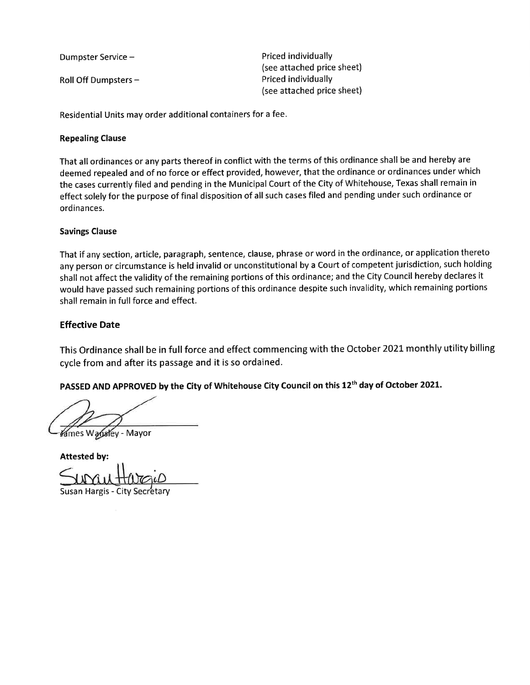Dumpster Service -

Roll Off Dumpsters -

Priced individually (see attached price sheet) Priced individually (see attached price sheet)

Residential Units may order additional containers for a fee.

# **Repealing Clause**

That all ordinances or any parts thereof in conflict with the terms of this ordinance shall be and hereby are deemed repealed and of no force or effect provided, however, that the ordinance or ordinances under which the cases currently filed and pending in the Municipal Court of the City of Whitehouse, Texas shall remain in effect solely for the purpose of final disposition of all such cases filed and pending under such ordinance or ordinances.

# **Savings Clause**

That if any section, article, paragraph, sentence, clause, phrase or word in the ordinance, or application thereto any person or circumstance is held invalid or unconstitutional by a Court of competent jurisdiction, such holding shall not affect the validity of the remaining portions of this ordinance; and the City Council hereby declares it would have passed such remaining portions of this ordinance despite such invalidity, which remaining portions shall remain in full force and effect.

# **Effective Date**

This Ordinance shall be in full force and effect commencing with the October 2021 monthly utility billing cycle from and after its passage and it is so ordained.

PASSED AND APPROVED by the City of Whitehouse City Council on this 12<sup>th</sup> day of October 2021.

Kames Wansley - Mayor

**Attested by:** 

Susan Hargis - City Secretary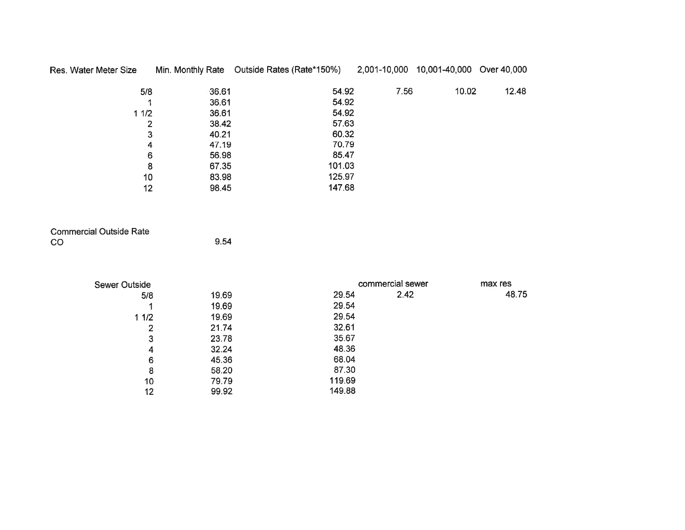| Res. Water Meter Size |       | Min. Monthly Rate Outside Rates (Rate*150%) | 2,001-10,000 | 10,001-40,000 Over 40,000 |       |
|-----------------------|-------|---------------------------------------------|--------------|---------------------------|-------|
| 5/8                   | 36.61 | 54.92                                       | 7.56         | 10.02                     | 12.48 |
|                       | 36.61 | 54.92                                       |              |                           |       |
| 11/2                  | 36.61 | 54.92                                       |              |                           |       |
| 2                     | 38.42 | 57.63                                       |              |                           |       |
| 3                     | 40.21 | 60.32                                       |              |                           |       |
| 4                     | 47.19 | 70.79                                       |              |                           |       |
| 6                     | 56.98 | 85.47                                       |              |                           |       |
| 8                     | 67.35 | 101.03                                      |              |                           |       |
| 10                    | 83.98 | 125.97                                      |              |                           |       |
| 12                    | 98.45 | 147.68                                      |              |                           |       |

| <b>Commercial Outside Rate</b> |      |
|--------------------------------|------|
| CO.                            | 9.54 |

| <b>Sewer Outside</b> |       |        | commercial sewer | max res |
|----------------------|-------|--------|------------------|---------|
| 5/8                  | 19.69 | 29.54  | 2.42             | 48.75   |
|                      | 19.69 | 29.54  |                  |         |
| 11/2                 | 19.69 | 29.54  |                  |         |
| 2                    | 21.74 | 32.61  |                  |         |
| 3                    | 23.78 | 35.67  |                  |         |
| 4                    | 32.24 | 48.36  |                  |         |
| 6                    | 45.36 | 68.04  |                  |         |
| 8                    | 58.20 | 87.30  |                  |         |
| 10                   | 79.79 | 119.69 |                  |         |
| 12                   | 99.92 | 149.88 |                  |         |